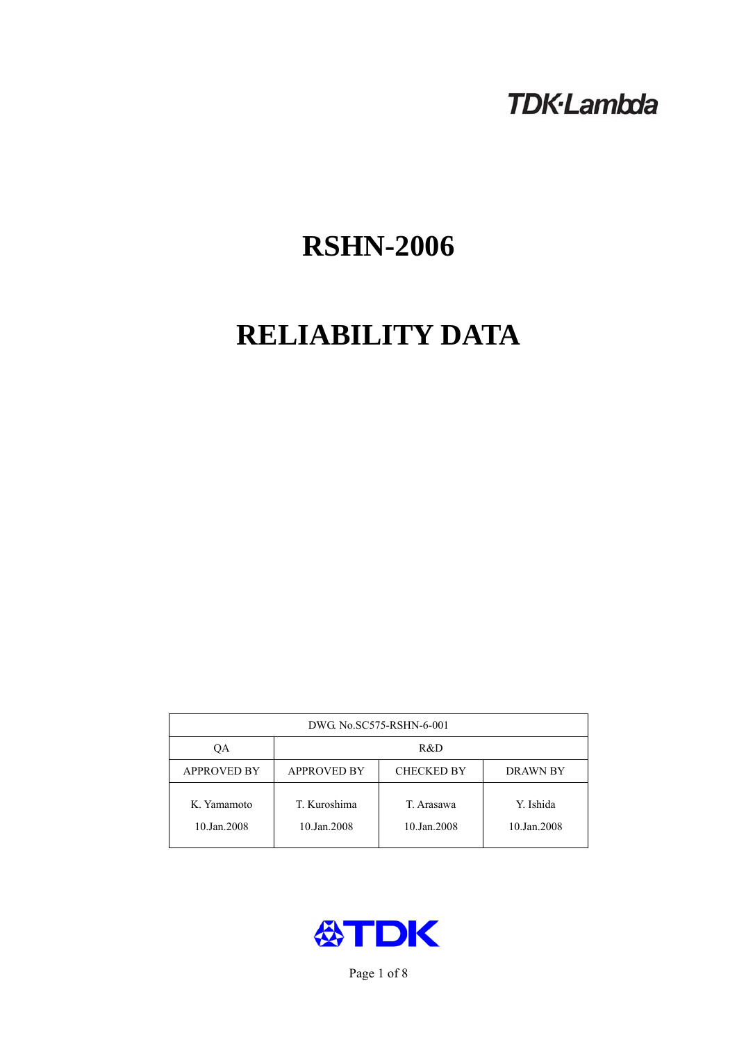# **TDK-Lambda**

# **RSHN-2006**

# **RELIABILITY DATA**

| DWG No.SC575-RSHN-6-001    |                                                            |                           |                          |  |  |
|----------------------------|------------------------------------------------------------|---------------------------|--------------------------|--|--|
| ОA                         | R&D                                                        |                           |                          |  |  |
| <b>APPROVED BY</b>         | <b>APPROVED BY</b><br><b>CHECKED BY</b><br><b>DRAWN BY</b> |                           |                          |  |  |
| K. Yamamoto<br>10.Jan.2008 | T. Kuroshima<br>10.Jan.2008                                | T. Arasawa<br>10.Jan.2008 | Y. Ishida<br>10.Jan.2008 |  |  |



Page 1 of 8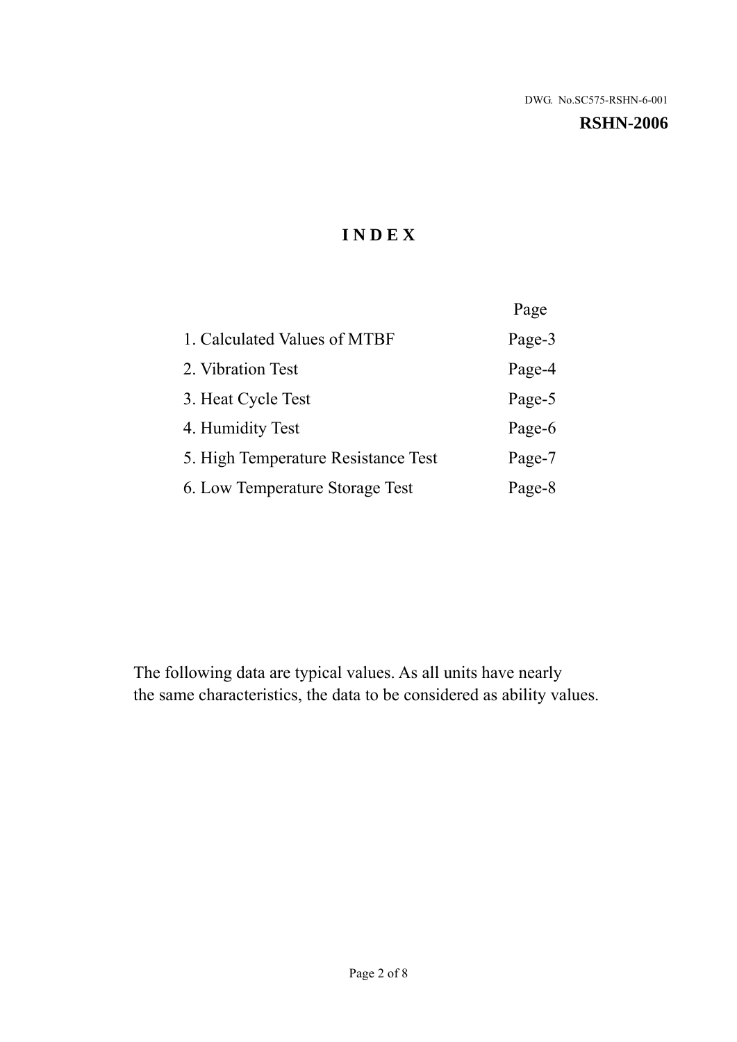#### **RSHN-2006**

# **I N D E X**

|                                     | Page   |
|-------------------------------------|--------|
| 1. Calculated Values of MTBF        | Page-3 |
| 2. Vibration Test                   | Page-4 |
| 3. Heat Cycle Test                  | Page-5 |
| 4. Humidity Test                    | Page-6 |
| 5. High Temperature Resistance Test | Page-7 |
| 6. Low Temperature Storage Test     | Page-8 |

The following data are typical values. As all units have nearly the same characteristics, the data to be considered as ability values.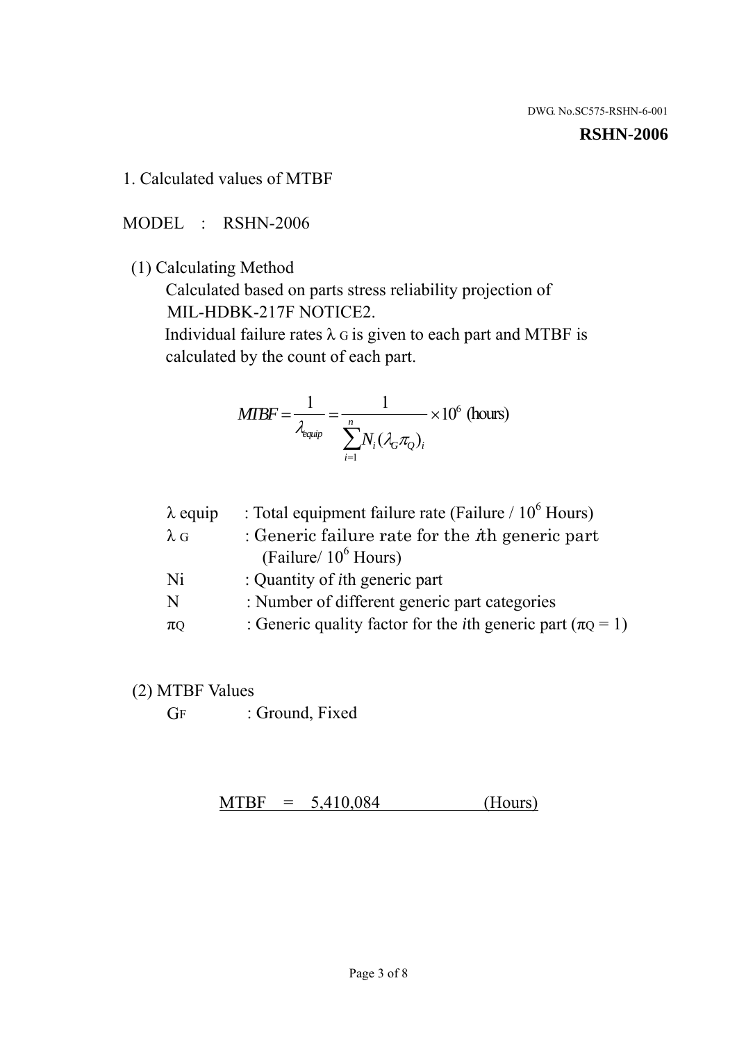#### **RSHN-2006**

1. Calculated values of MTBF

MODEL : RSHN-2006

(1) Calculating Method

 Calculated based on parts stress reliability projection of MIL-HDBK-217F NOTICE2.

Individual failure rates  $\lambda$  G is given to each part and MTBF is calculated by the count of each part.

$$
MTBF = \frac{1}{\lambda_{\text{equip}}} = \frac{1}{\sum_{i=1}^{n} N_i (\lambda_G \pi_Q)_i} \times 10^6 \text{ (hours)}
$$

| $\lambda$ equip | : Total equipment failure rate (Failure $/ 10^6$ Hours)                   |
|-----------------|---------------------------------------------------------------------------|
| $\lambda$ G     | : Generic failure rate for the $\hbar$ generic part                       |
|                 | (Failure/ $10^6$ Hours)                                                   |
| Ni              | : Quantity of <i>i</i> th generic part                                    |
| N               | : Number of different generic part categories                             |
| $\pi$ Q         | : Generic quality factor for the <i>i</i> th generic part ( $\pi Q = 1$ ) |

- (2) MTBF Values
	- GF : Ground, Fixed

 $MTBF = 5,410,084$  (Hours)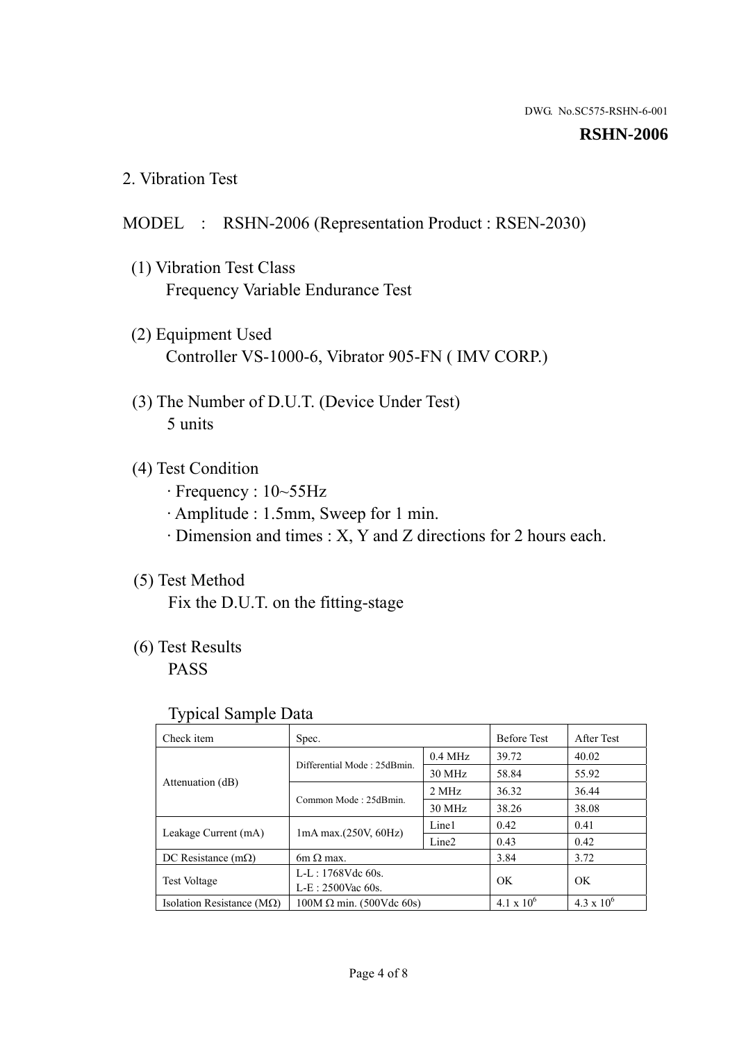#### **RSHN-2006**

2. Vibration Test

# MODEL : RSHN-2006 (Representation Product : RSEN-2030)

- (1) Vibration Test Class Frequency Variable Endurance Test
- (2) Equipment Used Controller VS-1000-6, Vibrator 905-FN ( IMV CORP.)
- (3) The Number of D.U.T. (Device Under Test) 5 units
- (4) Test Condition
	- · Frequency : 10~55Hz
	- · Amplitude : 1.5mm, Sweep for 1 min.
	- · Dimension and times : X, Y and Z directions for 2 hours each.

# (5) Test Method

Fix the D.U.T. on the fitting-stage

# (6) Test Results

PASS

#### Typical Sample Data

| ັ່                                 |                                                         |           |                     |                     |
|------------------------------------|---------------------------------------------------------|-----------|---------------------|---------------------|
| Check item                         | Spec.                                                   |           | <b>Before Test</b>  | After Test          |
|                                    | Differential Mode: 25dBmin.                             | $0.4$ MHz | 39.72               | 40.02               |
|                                    |                                                         | 30 MHz    | 58.84               | 55.92               |
| Attenuation (dB)                   | Common Mode: 25dBmin.                                   | 2 MHz     | 36.32               | 36.44               |
|                                    |                                                         | 30 MHz    | 38.26               | 38.08               |
| Leakage Current (mA)               | Line1<br>$1mA$ max. $(250V, 60Hz)$<br>Line <sub>2</sub> |           | 0.42                | 0.41                |
|                                    |                                                         |           | 0.43                | 0.42                |
| DC Resistance $(m\Omega)$          | 6m $\Omega$ max.                                        |           | 3.84                | 3.72                |
| <b>Test Voltage</b>                | $L-L: 1768Vdc$ 60s.                                     |           | OK                  | OK.                 |
|                                    | $L-E: 2500$ Vac 60s.                                    |           |                     |                     |
| Isolation Resistance ( $M\Omega$ ) | $100M \Omega$ min. (500Vdc 60s)                         |           | $4.1 \times 10^{6}$ | $4.3 \times 10^{6}$ |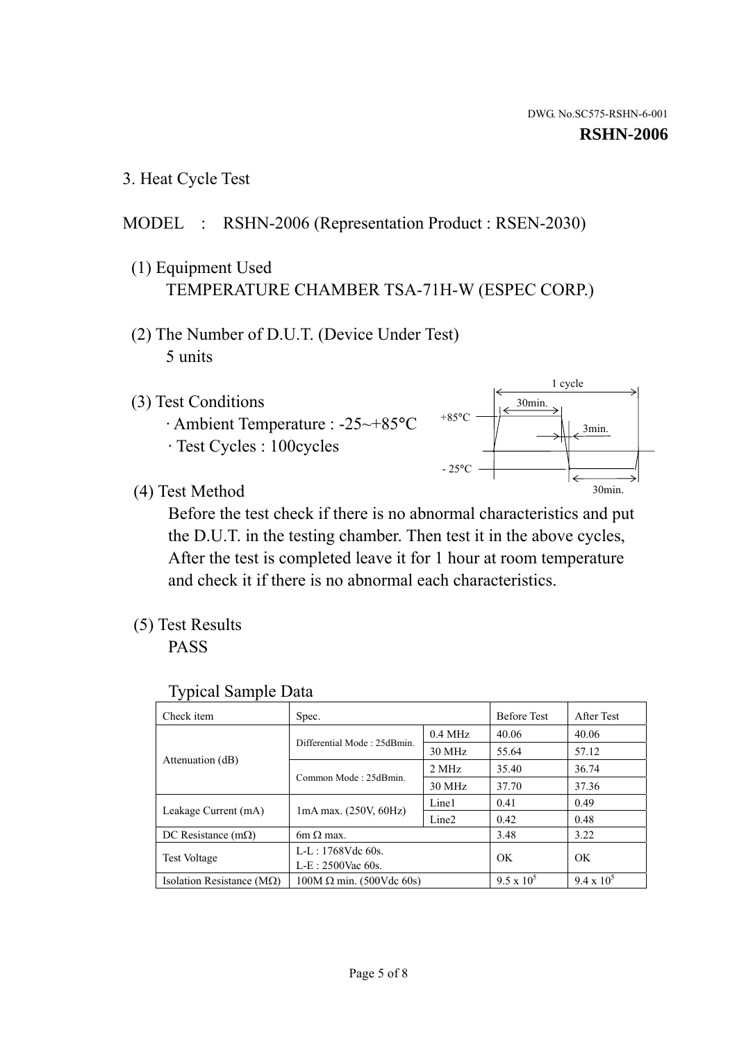3. Heat Cycle Test

# MODEL : RSHN-2006 (Representation Product : RSEN-2030)

- (1) Equipment Used TEMPERATURE CHAMBER TSA-71H-W (ESPEC CORP.)
- (2) The Number of D.U.T. (Device Under Test) 5 units
- (3) Test Conditions
	- · Ambient Temperature : -25~+85°C · Test Cycles : 100cycles



(4) Test Method

 Before the test check if there is no abnormal characteristics and put the D.U.T. in the testing chamber. Then test it in the above cycles, After the test is completed leave it for 1 hour at room temperature and check it if there is no abnormal each characteristics.

(5) Test Results

PASS

| <b>Typical Sample Data</b> |  |  |
|----------------------------|--|--|
|----------------------------|--|--|

| Check item                    | Spec.                                                                           |           | <b>Before Test</b> | After Test        |
|-------------------------------|---------------------------------------------------------------------------------|-----------|--------------------|-------------------|
|                               |                                                                                 | $0.4$ MHz | 40.06              | 40.06             |
|                               | Differential Mode: 25dBmin.                                                     | 30 MHz    | 55.64              | 57.12             |
| Attenuation (dB)              | Common Mode: 25dBmin.                                                           | 2 MHz     | 35.40              | 36.74             |
|                               |                                                                                 | 30 MHz    | 37.70              | 37.36             |
|                               | Line1<br>$1mA$ max. $(250V, 60Hz)$<br>Leakage Current (mA)<br>Line <sub>2</sub> |           | 0.41               | 0.49              |
|                               |                                                                                 |           | 0.42               | 0.48              |
| DC Resistance $(m\Omega)$     | $6m \Omega$ max.                                                                |           | 3.48               | 3.22              |
|                               | L-L: $1768V$ de $60s$ .                                                         |           | OK                 | OK                |
|                               | <b>Test Voltage</b><br>$L-E: 2500$ Vac 60s.                                     |           |                    |                   |
| Isolation Resistance ( $MQ$ ) | $100M \Omega$ min. (500Vdc 60s)                                                 |           | $9.5 \times 10^5$  | $9.4 \times 10^5$ |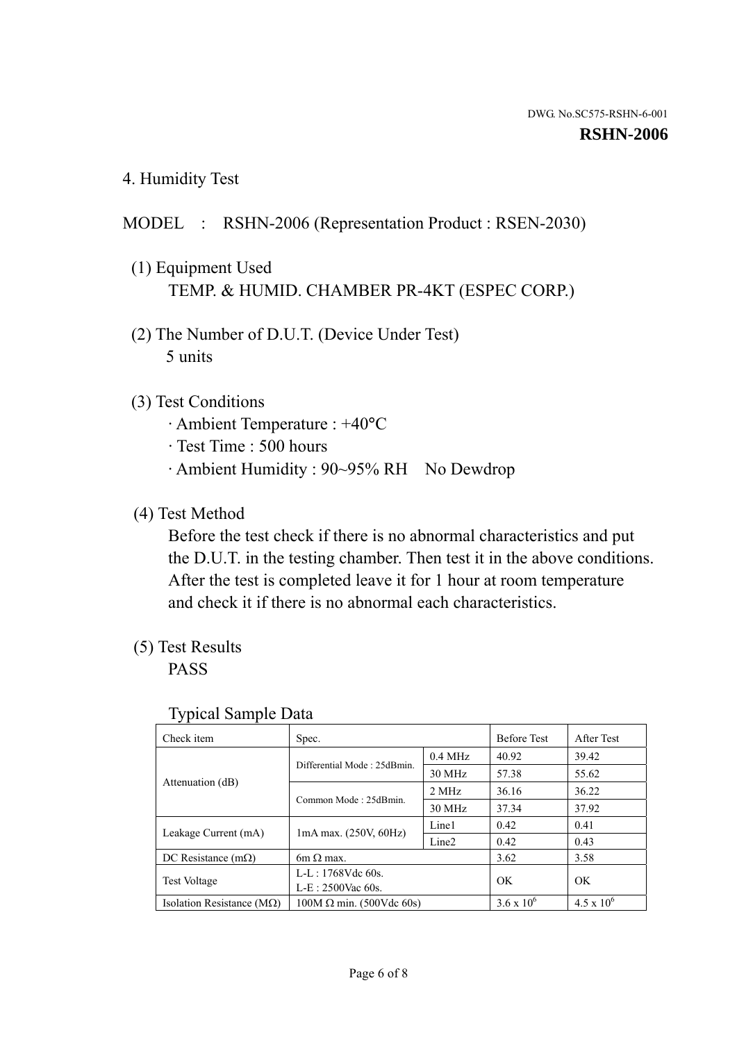4. Humidity Test

# MODEL : RSHN-2006 (Representation Product : RSEN-2030)

- (1) Equipment Used TEMP. & HUMID. CHAMBER PR-4KT (ESPEC CORP.)
- (2) The Number of D.U.T. (Device Under Test) 5 units

# (3) Test Conditions

- · Ambient Temperature : +40°C
- · Test Time : 500 hours
- · Ambient Humidity : 90~95% RH No Dewdrop

# (4) Test Method

 Before the test check if there is no abnormal characteristics and put the D.U.T. in the testing chamber. Then test it in the above conditions. After the test is completed leave it for 1 hour at room temperature and check it if there is no abnormal each characteristics.

# (5) Test Results

PASS

| ╯┸                            |                                 |                   |                     |                     |
|-------------------------------|---------------------------------|-------------------|---------------------|---------------------|
| Check item                    | Spec.                           |                   | <b>Before Test</b>  | After Test          |
|                               | Differential Mode: 25dBmin.     | $0.4$ MHz         | 40.92               | 39.42               |
|                               |                                 | 30 MHz            | 57.38               | 55.62               |
| Attenuation (dB)              | Common Mode: 25dBmin.           | 2 MHz             | 36.16               | 36.22               |
|                               |                                 | 30 MHz            | 37.34               | 37.92               |
| Leakage Current (mA)          | $1mA$ max. $(250V, 60Hz)$       | Line1             | 0.42                | 0.41                |
|                               |                                 | Line <sub>2</sub> | 0.42                | 0.43                |
| DC Resistance $(m\Omega)$     | $6m \Omega$ max.                |                   | 3.62                | 3.58                |
| <b>Test Voltage</b>           | L-L: 1768Vdc 60s.               |                   | OK                  | OK                  |
|                               | $L-E: 2500$ Vac 60s.            |                   |                     |                     |
| Isolation Resistance ( $MQ$ ) | $100M \Omega$ min. (500Vdc 60s) |                   | $3.6 \times 10^{6}$ | $4.5 \times 10^{6}$ |

#### Typical Sample Data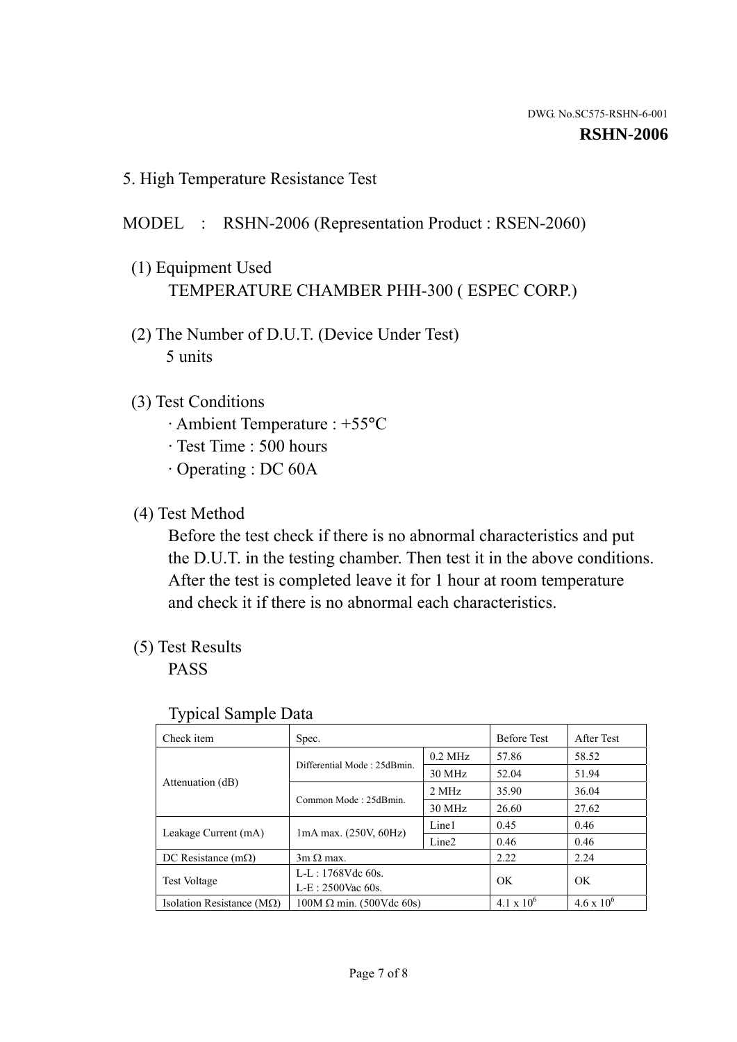5. High Temperature Resistance Test

# MODEL : RSHN-2006 (Representation Product : RSEN-2060)

- (1) Equipment Used TEMPERATURE CHAMBER PHH-300 ( ESPEC CORP.)
- (2) The Number of D.U.T. (Device Under Test) 5 units
- (3) Test Conditions
	- · Ambient Temperature : +55°C
	- · Test Time : 500 hours
	- · Operating : DC 60A
- (4) Test Method

 Before the test check if there is no abnormal characteristics and put the D.U.T. in the testing chamber. Then test it in the above conditions. After the test is completed leave it for 1 hour at room temperature and check it if there is no abnormal each characteristics.

(5) Test Results

PASS

| J 1                                               |                                             |                   |                     |                     |
|---------------------------------------------------|---------------------------------------------|-------------------|---------------------|---------------------|
| Check item                                        | Spec.                                       |                   | <b>Before Test</b>  | After Test          |
|                                                   | Differential Mode: 25dBmin.                 | $0.2$ MHz         | 57.86               | 58.52               |
|                                                   |                                             | 30 MHz            | 52.04               | 51.94               |
| Attenuation (dB)                                  | Common Mode: 25dBmin.                       | 2 MHz             | 35.90               | 36.04               |
|                                                   |                                             | 30 MHz            | 26.60               | 27.62               |
| $1mA$ max. $(250V, 60Hz)$<br>Leakage Current (mA) |                                             | Line1             | 0.45                | 0.46                |
|                                                   |                                             | Line <sub>2</sub> | 0.46                | 0.46                |
| DC Resistance $(m\Omega)$                         | $3m \Omega$ max.                            |                   | 2.22                | 2.24                |
|                                                   | $L-L: 1768Vdc$ 60s.                         |                   | OK                  | OK                  |
|                                                   | <b>Test Voltage</b><br>$L-E$ : 2500Vac 60s. |                   |                     |                     |
| Isolation Resistance ( $M\Omega$ )                | $100M \Omega$ min. (500Vdc 60s)             |                   | $4.1 \times 10^{6}$ | $4.6 \times 10^{6}$ |

#### Typical Sample Data